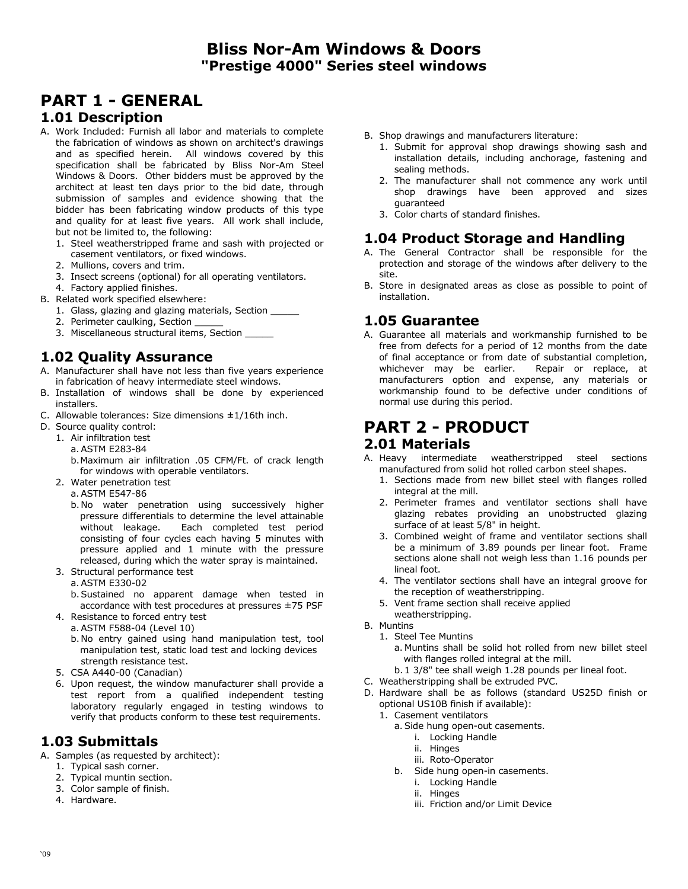# **PART 1 - GENERAL**

#### **1.01 Description**

- A. Work Included: Furnish all labor and materials to complete the fabrication of windows as shown on architect's drawings and as specified herein. All windows covered by this specification shall be fabricated by Bliss Nor-Am Steel Windows & Doors. Other bidders must be approved by the architect at least ten days prior to the bid date, through submission of samples and evidence showing that the bidder has been fabricating window products of this type and quality for at least five years. All work shall include, but not be limited to, the following:
	- 1. Steel weatherstripped frame and sash with projected or casement ventilators, or fixed windows.
	- 2. Mullions, covers and trim.
	- 3. Insect screens (optional) for all operating ventilators.
	- 4. Factory applied finishes.
- B. Related work specified elsewhere:
	- 1. Glass, glazing and glazing materials, Section
	- 2. Perimeter caulking, Section \_
	- 3. Miscellaneous structural items, Section \_\_\_\_\_

### **1.02 Quality Assurance**

- A. Manufacturer shall have not less than five years experience in fabrication of heavy intermediate steel windows.
- B. Installation of windows shall be done by experienced installers.
- C. Allowable tolerances: Size dimensions  $\pm 1/16$ th inch.
- D. Source quality control:
- 1. Air infiltration test
	- a. ASTM E283-84
	- b. Maximum air infiltration .05 CFM/Ft. of crack length for windows with operable ventilators.
	- 2. Water penetration test
		- a. ASTM E547-86
			- b. No water penetration using successively higher pressure differentials to determine the level attainable without leakage. Each completed test period consisting of four cycles each having 5 minutes with pressure applied and 1 minute with the pressure released, during which the water spray is maintained.
	- 3. Structural performance test
		- a. ASTM E330-02
		- b. Sustained no apparent damage when tested in accordance with test procedures at pressures ±75 PSF
	- 4. Resistance to forced entry test
		- a. ASTM F588-04 (Level 10)
		- b. No entry gained using hand manipulation test, tool manipulation test, static load test and locking devices strength resistance test.
	- 5. CSA A440-00 (Canadian)
	- 6. Upon request, the window manufacturer shall provide a test report from a qualified independent testing laboratory regularly engaged in testing windows to verify that products conform to these test requirements.

#### **1.03 Submittals**

- A. Samples (as requested by architect):
	- 1. Typical sash corner.
	- 2. Typical muntin section.
	- 3. Color sample of finish.
	- 4. Hardware.
- B. Shop drawings and manufacturers literature:
	- 1. Submit for approval shop drawings showing sash and installation details, including anchorage, fastening and sealing methods.
	- 2. The manufacturer shall not commence any work until shop drawings have been approved and sizes guaranteed
	- 3. Color charts of standard finishes.

#### **1.04 Product Storage and Handling**

- A. The General Contractor shall be responsible for the protection and storage of the windows after delivery to the site.
- B. Store in designated areas as close as possible to point of installation.

#### **1.05 Guarantee**

A. Guarantee all materials and workmanship furnished to be free from defects for a period of 12 months from the date of final acceptance or from date of substantial completion, whichever may be earlier. Repair or replace, at manufacturers option and expense, any materials or workmanship found to be defective under conditions of normal use during this period.

# **PART 2 - PRODUCT**

#### **2.01 Materials**

- A. Heavy intermediate weatherstripped steel sections manufactured from solid hot rolled carbon steel shapes.
	- 1. Sections made from new billet steel with flanges rolled integral at the mill.
	- 2. Perimeter frames and ventilator sections shall have glazing rebates providing an unobstructed glazing surface of at least 5/8" in height.
	- 3. Combined weight of frame and ventilator sections shall be a minimum of 3.89 pounds per linear foot. Frame sections alone shall not weigh less than 1.16 pounds per lineal foot.
	- 4. The ventilator sections shall have an integral groove for the reception of weatherstripping.
	- 5. Vent frame section shall receive applied weatherstripping.
- B. Muntins
	- 1. Steel Tee Muntins
		- a. Muntins shall be solid hot rolled from new billet steel with flanges rolled integral at the mill.
	- b. 1 3/8" tee shall weigh 1.28 pounds per lineal foot.
- C. Weatherstripping shall be extruded PVC.
- D. Hardware shall be as follows (standard US25D finish or optional US10B finish if available):
	- 1. Casement ventilators
		- a. Side hung open-out casements.
			- i. Locking Handle
			- ii. Hinges
			- iii. Roto-Operator
		- b. Side hung open-in casements.
			- i. Locking Handle
			- ii. Hinges
			- iii. Friction and/or Limit Device